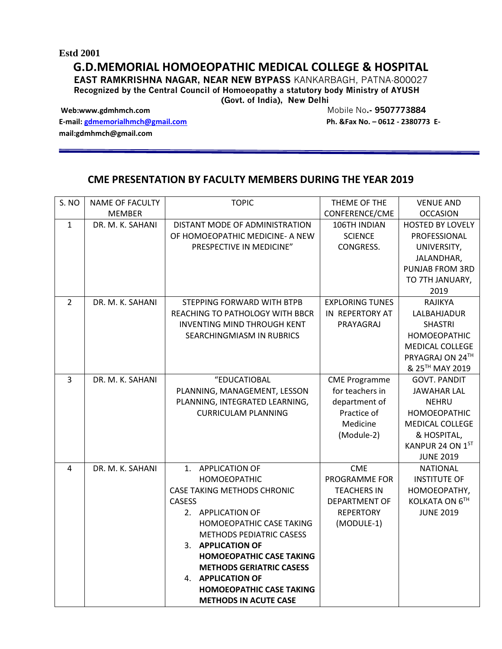## **Estd 2001**

## **G.D.MEMORIAL HOMOEOPATHIC MEDICAL COLLEGE & HOSPITAL**

**EAST RAMKRISHNA NAGAR, NEAR NEW BYPASS** KANKARBAGH, PATNA-800027 **Recognized by the Central Council of Homoeopathy a statutory body Ministry of AYUSH** 

**(Govt. of India), New Delhi** 

Web:www.gdmhmch.com Mobile No.- 9507773884

**E-mail:** [gdmemorialhmch@gmail.com](mailto:gdmemorialhmch@gmail.com) **Ph. &Fax No. -0612 - 2380773 Email:gdmhmch@gmail.com** 

## **CME PRESENTATION BY FACULTY MEMBERS DURING THE YEAR 2019**

| S. NO          | <b>NAME OF FACULTY</b> | <b>TOPIC</b>                       | THEME OF THE           | <b>VENUE AND</b>        |
|----------------|------------------------|------------------------------------|------------------------|-------------------------|
|                | <b>MEMBER</b>          |                                    | CONFERENCE/CME         | <b>OCCASION</b>         |
| $\mathbf{1}$   | DR. M. K. SAHANI       | DISTANT MODE OF ADMINISTRATION     | 106TH INDIAN           | <b>HOSTED BY LOVELY</b> |
|                |                        | OF HOMOEOPATHIC MEDICINE- A NEW    | <b>SCIENCE</b>         | PROFESSIONAL            |
|                |                        | PRESPECTIVE IN MEDICINE"           | CONGRESS.              | UNIVERSITY,             |
|                |                        |                                    |                        | JALANDHAR,              |
|                |                        |                                    |                        | PUNJAB FROM 3RD         |
|                |                        |                                    |                        | TO 7TH JANUARY,         |
|                |                        |                                    |                        | 2019                    |
| $\overline{2}$ | DR. M. K. SAHANI       | STEPPING FORWARD WITH BTPB         | <b>EXPLORING TUNES</b> | <b>RAJIKYA</b>          |
|                |                        | REACHING TO PATHOLOGY WITH BBCR    | IN REPERTORY AT        | LALBAHJADUR             |
|                |                        | <b>INVENTING MIND THROUGH KENT</b> | PRAYAGRAJ              | <b>SHASTRI</b>          |
|                |                        | SEARCHINGMIASM IN RUBRICS          |                        | <b>HOMOEOPATHIC</b>     |
|                |                        |                                    |                        | <b>MEDICAL COLLEGE</b>  |
|                |                        |                                    |                        | PRYAGRAJ ON 24TH        |
|                |                        |                                    |                        | & 25™ MAY 2019          |
| $\overline{3}$ | DR. M. K. SAHANI       | "EDUCATIOBAL                       | <b>CME Programme</b>   | <b>GOVT. PANDIT</b>     |
|                |                        | PLANNING, MANAGEMENT, LESSON       | for teachers in        | <b>JAWAHAR LAL</b>      |
|                |                        | PLANNING, INTEGRATED LEARNING,     | department of          | <b>NEHRU</b>            |
|                |                        | <b>CURRICULAM PLANNING</b>         | Practice of            | <b>HOMOEOPATHIC</b>     |
|                |                        |                                    | Medicine               | <b>MEDICAL COLLEGE</b>  |
|                |                        |                                    | (Module-2)             | & HOSPITAL,             |
|                |                        |                                    |                        | KANPUR 24 ON 1ST        |
|                |                        |                                    |                        | <b>JUNE 2019</b>        |
| 4              | DR. M. K. SAHANI       | 1. APPLICATION OF                  | <b>CME</b>             | <b>NATIONAL</b>         |
|                |                        | <b>HOMOEOPATHIC</b>                | PROGRAMME FOR          | <b>INSTITUTE OF</b>     |
|                |                        | <b>CASE TAKING METHODS CHRONIC</b> | <b>TEACHERS IN</b>     | HOMOEOPATHY,            |
|                |                        | <b>CASESS</b>                      | <b>DEPARTMENT OF</b>   | KOLKATA ON 6TH          |
|                |                        | 2. APPLICATION OF                  | <b>REPERTORY</b>       | <b>JUNE 2019</b>        |
|                |                        | HOMOEOPATHIC CASE TAKING           | (MODULE-1)             |                         |
|                |                        | <b>METHODS PEDIATRIC CASESS</b>    |                        |                         |
|                |                        | 3. APPLICATION OF                  |                        |                         |
|                |                        | <b>HOMOEOPATHIC CASE TAKING</b>    |                        |                         |
|                |                        | <b>METHODS GERIATRIC CASESS</b>    |                        |                         |
|                |                        | <b>4. APPLICATION OF</b>           |                        |                         |
|                |                        | <b>HOMOEOPATHIC CASE TAKING</b>    |                        |                         |
|                |                        | <b>METHODS IN ACUTE CASE</b>       |                        |                         |